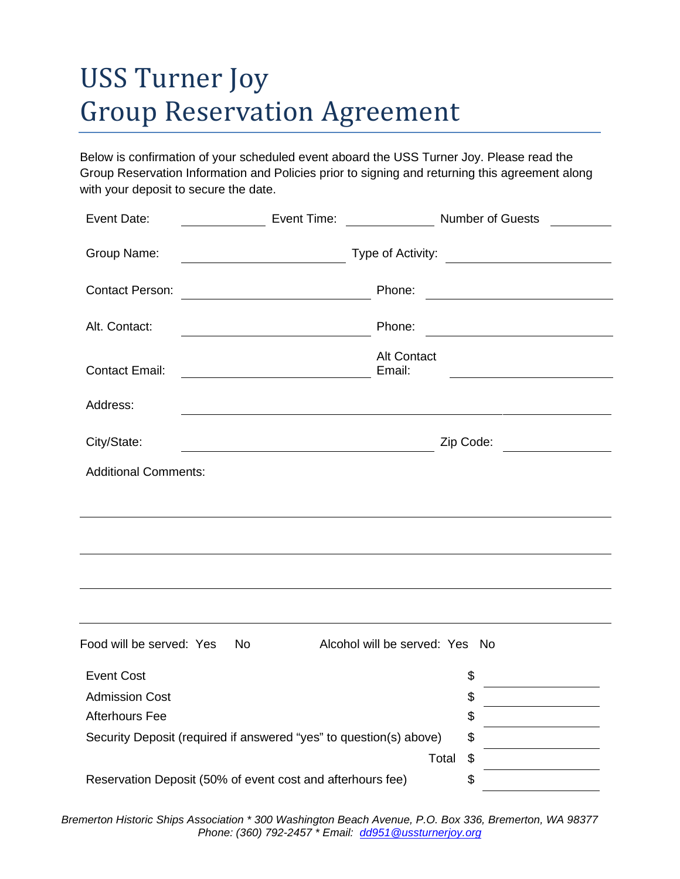# USS Turner Joy Group Reservation Agreement

Below is confirmation of your scheduled event aboard the USS Turner Joy. Please read the Group Reservation Information and Policies prior to signing and returning this agreement along with your deposit to secure the date.

| Event Date:                                                | Event Time:<br>Number of Guests<br>$\frac{1}{2}$                                    |                                                                                                                        |
|------------------------------------------------------------|-------------------------------------------------------------------------------------|------------------------------------------------------------------------------------------------------------------------|
| Group Name:                                                | Type of Activity:<br><u> 1989 - Johann Barbara, martin a</u>                        |                                                                                                                        |
| <b>Contact Person:</b>                                     | Phone:                                                                              | <u> 1989 - Johann Barn, mars ar breist bestjoerde te gemeente gemeente van de gemeente van de gemeente van de ge</u>   |
| Alt. Contact:                                              | Phone:<br><u> 1989 - Johann Barn, mars ar breist bestjoerde te gemeente kommen.</u> | <u> 1989 - Johann Stoff, deutscher Stoffen und der Stoffen und der Stoffen und der Stoffen und der Stoffen und der</u> |
| <b>Contact Email:</b>                                      | <b>Alt Contact</b><br>Email:                                                        |                                                                                                                        |
| Address:                                                   |                                                                                     |                                                                                                                        |
| City/State:                                                |                                                                                     | Zip Code:                                                                                                              |
| <b>Additional Comments:</b>                                |                                                                                     |                                                                                                                        |
|                                                            |                                                                                     |                                                                                                                        |
|                                                            |                                                                                     |                                                                                                                        |
|                                                            |                                                                                     |                                                                                                                        |
|                                                            |                                                                                     |                                                                                                                        |
| Food will be served: Yes                                   | <b>No</b><br>Alcohol will be served: Yes No                                         |                                                                                                                        |
| <b>Event Cost</b>                                          |                                                                                     | \$                                                                                                                     |
| <b>Admission Cost</b>                                      |                                                                                     | \$                                                                                                                     |
| <b>Afterhours Fee</b>                                      |                                                                                     | \$                                                                                                                     |
|                                                            | Security Deposit (required if answered "yes" to question(s) above)                  | \$                                                                                                                     |
|                                                            | Total                                                                               | \$                                                                                                                     |
| Reservation Deposit (50% of event cost and afterhours fee) | \$                                                                                  |                                                                                                                        |

*Bremerton Historic Ships Association \* 300 Washington Beach Avenue, P.O. Box 336, Bremerton, WA 98377 Phone: (360) 792-2457 \* Email: dd951@ussturnerjoy.org*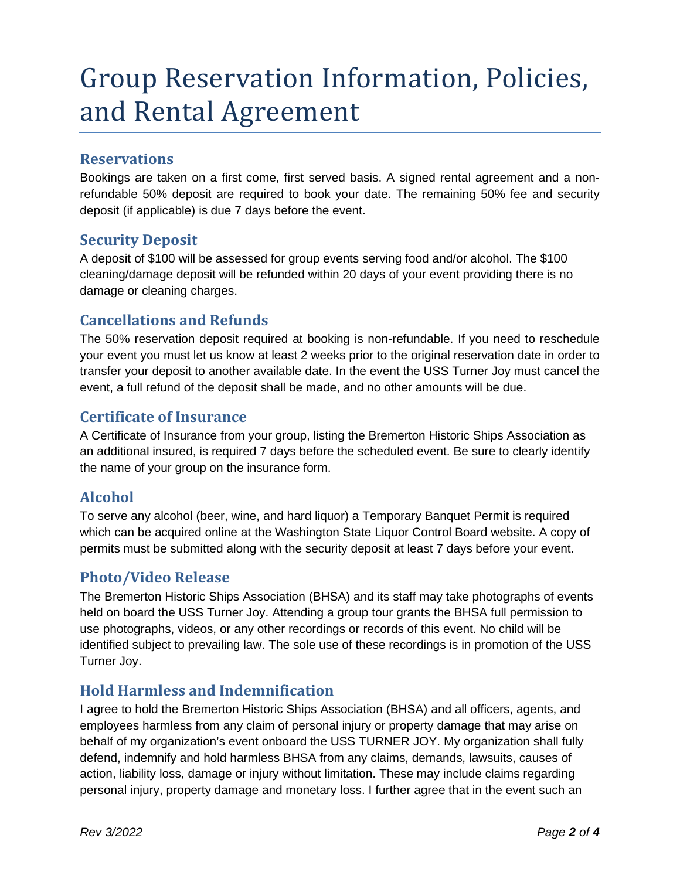# Group Reservation Information, Policies, and Rental Agreement

#### **Reservations**

Bookings are taken on a first come, first served basis. A signed rental agreement and a nonrefundable 50% deposit are required to book your date. The remaining 50% fee and security deposit (if applicable) is due 7 days before the event.

#### **Security Deposit**

A deposit of \$100 will be assessed for group events serving food and/or alcohol. The \$100 cleaning/damage deposit will be refunded within 20 days of your event providing there is no damage or cleaning charges.

### **Cancellations and Refunds**

The 50% reservation deposit required at booking is non-refundable. If you need to reschedule your event you must let us know at least 2 weeks prior to the original reservation date in order to transfer your deposit to another available date. In the event the USS Turner Joy must cancel the event, a full refund of the deposit shall be made, and no other amounts will be due.

### **Certificate of Insurance**

A Certificate of Insurance from your group, listing the Bremerton Historic Ships Association as an additional insured, is required 7 days before the scheduled event. Be sure to clearly identify the name of your group on the insurance form.

### **Alcohol**

To serve any alcohol (beer, wine, and hard liquor) a Temporary Banquet Permit is required which can be acquired online at the Washington State Liquor Control Board website. A copy of permits must be submitted along with the security deposit at least 7 days before your event.

### **Photo/Video Release**

The Bremerton Historic Ships Association (BHSA) and its staff may take photographs of events held on board the USS Turner Joy. Attending a group tour grants the BHSA full permission to use photographs, videos, or any other recordings or records of this event. No child will be identified subject to prevailing law. The sole use of these recordings is in promotion of the USS Turner Joy.

### **Hold Harmless and Indemnification**

I agree to hold the Bremerton Historic Ships Association (BHSA) and all officers, agents, and employees harmless from any claim of personal injury or property damage that may arise on behalf of my organization's event onboard the USS TURNER JOY. My organization shall fully defend, indemnify and hold harmless BHSA from any claims, demands, lawsuits, causes of action, liability loss, damage or injury without limitation. These may include claims regarding personal injury, property damage and monetary loss. I further agree that in the event such an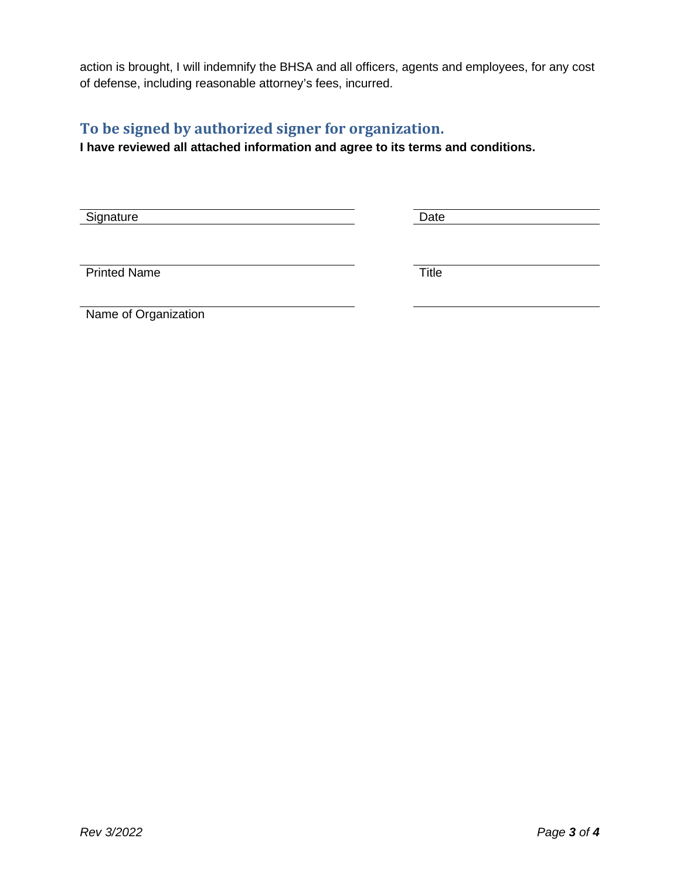action is brought, I will indemnify the BHSA and all officers, agents and employees, for any cost of defense, including reasonable attorney's fees, incurred.

### **To be signed by authorized signer for organization.**

**I have reviewed all attached information and agree to its terms and conditions.** 

Signature Date

Printed Name Title

Name of Organization